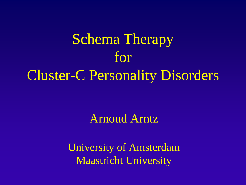Schema Therapy for Cluster-C Personality Disorders

#### Arnoud Arntz

University of Amsterdam Maastricht University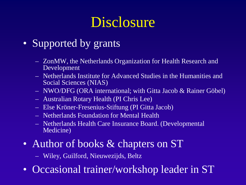## **Disclosure**

#### • Supported by grants

- ZonMW, the Netherlands Organization for Health Research and Development
- Netherlands Institute for Advanced Studies in the Humanities and Social Sciences (NIAS)
- NWO/DFG (ORA international; with Gitta Jacob & Rainer Göbel)
- Australian Rotary Health (PI Chris Lee)
- Else Kröner-Fresenius-Stiftung (PI Gitta Jacob)
- Netherlands Foundation for Mental Health
- Netherlands Health Care Insurance Board. (Developmental Medicine)
- Author of books & chapters on ST

– Wiley, Guilford, Nieuwezijds, Beltz

• Occasional trainer/workshop leader in ST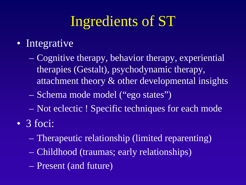# Ingredients of ST

#### • Integrative

- Cognitive therapy, behavior therapy, experiential therapies (Gestalt), psychodynamic therapy, attachment theory & other developmental insights
- Schema mode model ("ego states")
- Not eclectic ! Specific techniques for each mode
- 3 foci:
	- Therapeutic relationship (limited reparenting)
	- Childhood (traumas; early relationships)
	- Present (and future)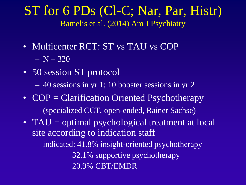#### ST for 6 PDs (Cl-C; Nar, Par, Histr) Bamelis et al. (2014) Am J Psychiatry

- Multicenter RCT: ST vs TAU vs COP  $- N = 320$
- 50 session ST protocol
	- 40 sessions in yr 1; 10 booster sessions in yr 2
- COP = Clarification Oriented Psychotherapy
	- (specialized CCT, open-ended, Rainer Sachse)
- TAU = optimal psychological treatment at local site according to indication staff
	- indicated: 41.8% insight-oriented psychotherapy

32.1% supportive psychotherapy 20.9% CBT/EMDR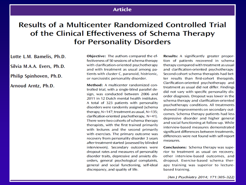#### **Article**

#### **Results of a Multicenter Randomized Controlled Trial** of the Clinical Effectiveness of Schema Therapy for Personality Disorders

Lotte L.M. Bamelis, Ph.D. Silvia M.A.A. Evers, Ph.D. Philip Spinhoven, Ph.D. Arnoud Arntz, Ph.D.

Objective: The authors compared the effectiveness of 50 sessions of schema therapy with clarification-oriented psychotherapy and with treatment as usual among patients with cluster C, paranoid, histrionic, or narcissistic personality disorder.

Method: A multicenter randomized controlled trial, with a single-blind parallel design, was conducted between 2006 and 2011 in 12 Dutch mental health institutes. A total of 323 patients with personality disorders were randomly assigned (schema therapy, N=147; treatment as usual, N=135; clarification-oriented psychotherapy, N=41). There were two cohorts of schema therapy therapists, with the first trained primarily with lectures and the second primarily with exercises. The primary outcome was recovery from personality disorder 3 years after treatment started (assessed by blinded interviewers). Secondary outcomes were dropout rates and measures of personality disorder traits, depressive and anxiety disorders, general psychological complaints, general and social functioning, self-ideal discrepancy, and quality of life.

Results: A significantly greater proportion of patients recovered in schema therapy compared with treatment as usual and clarification-oriented psychotherapy. Second-cohort schema therapists had better results than first-cohort therapists. Clarification-oriented psychotherapy and treatment as usual did not differ. Findings did not vary with specific personality disorder diagnosis. Dropout was lower in the schema therapy and clarification-oriented psychotherapy conditions. All treatments showed improvements on secondary outcomes. Schema therapy patients had less depressive disorder and higher general and social functioning at follow-up. While interview-based measures demonstrated significant differences between treatments. differences were not found with self-report measures.

**Conclusions:** Schema therapy was superior to treatment as usual on recovery, other interview-based outcomes, and dropout. Exercise-based schema therapy training was superior to lecturebased training.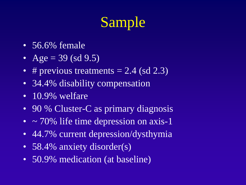# Sample

- 56.6% female
- Age = 39 (sd 9.5)
- # previous treatments  $= 2.4$  (sd 2.3)
- 34.4% disability compensation
- 10.9% welfare
- 90 % Cluster-C as primary diagnosis
- $\sim$  70% life time depression on axis-1
- 44.7% current depression/dysthymia
- 58.4% anxiety disorder(s)
- 50.9% medication (at baseline)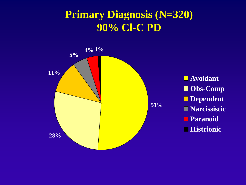#### **Primary Diagnosis (N=320) 90% Cl-C PD**

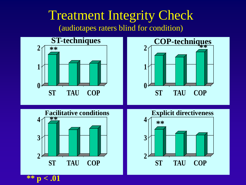#### Treatment Integrity Check (audiotapes raters blind for condition)

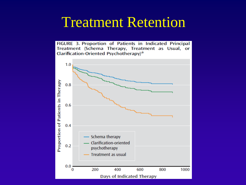## Treatment Retention

FIGURE 3. Proportion of Patients in Indicated Principal Treatment (Schema Therapy, Treatment as Usual, or Clarification-Oriented Psychotherapy)<sup>a</sup>

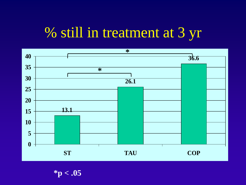## % still in treatment at 3 yr



**\*p < .05**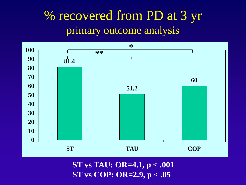## % recovered from PD at 3 yr primary outcome analysis



**ST vs TAU: OR=4.1, p < .001 ST vs COP: OR=2.9, p < .05**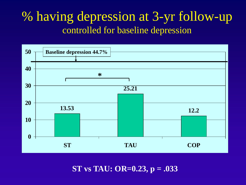### % having depression at 3-yr follow-up controlled for baseline depression



**ST vs TAU: OR=0.23, p = .033**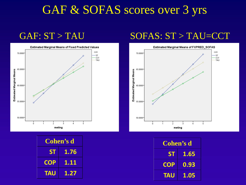### GAF & SOFAS scores over 3 yrs



| Cohen's d  |      |
|------------|------|
| <b>ST</b>  | 1.76 |
| <b>COP</b> | 1.11 |
| <b>TAU</b> | 1.27 |

#### GAF: ST > TAU SOFAS: ST > TAU=CCT



| Cohen's d  |      |
|------------|------|
| <b>ST</b>  | 1.65 |
| <b>COP</b> | 0.93 |
| <b>TAU</b> | 1.05 |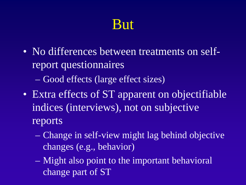## But

- No differences between treatments on selfreport questionnaires
	- Good effects (large effect sizes)
- Extra effects of ST apparent on objectifiable indices (interviews), not on subjective reports
	- Change in self-view might lag behind objective changes (e.g., behavior)
	- Might also point to the important behavioral change part of ST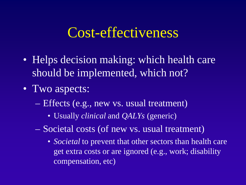## Cost-effectiveness

- Helps decision making: which health care should be implemented, which not?
- Two aspects:
	- Effects (e.g., new vs. usual treatment)
		- Usually *clinical* and *QALYs* (generic)
	- Societal costs (of new vs. usual treatment)
		- *Societal* to prevent that other sectors than health care get extra costs or are ignored (e.g., work; disability compensation, etc)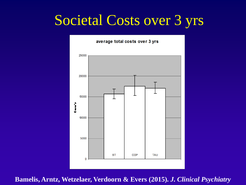## Societal Costs over 3 yrs



**Bamelis, Arntz, Wetzelaer, Verdoorn & Evers (2015).** *J. Clinical Psychiatry*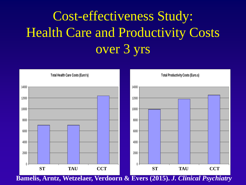# Cost-effectiveness Study: Health Care and Productivity Costs over 3 yrs



**Bamelis, Arntz, Wetzelaer, Verdoorn & Evers (2015).** *J. Clinical Psychiatry*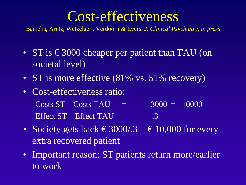## Cost-effectiveness

Bamelis, Arntz, Wetzelaer , Verdoorn & Evers. *J. Clinical Psychiatry, in press*

- ST is  $\epsilon$ 3000 cheaper per patient than TAU (on societal level)
- ST is more effective (81% vs. 51% recovery)
- Cost-effectiveness ratio:  $\text{Costs} \ \text{ST} - \text{Costs} \ \text{TAU} = -3000 = -10000$ Effect ST – Effect TAU .3
- Society gets back  $\text{\textsterling}3000/0.3 = \text{\textsterling}10,000$  for every extra recovered patient
- Important reason: ST patients return more/earlier to work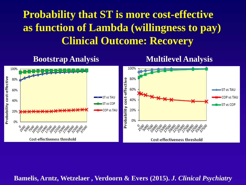#### **Probability that ST is more cost-effective as function of Lambda (willingness to pay) Clinical Outcome: Recovery**

**Bootstrap Analysis Multilevel Analysis**



**Bamelis, Arntz, Wetzelaer , Verdoorn & Evers (2015).** *J. Clinical Psychiatry*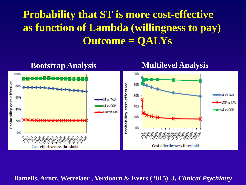#### **Probability that ST is more cost-effective as function of Lambda (willingness to pay) Outcome = QALYs**



**Bamelis, Arntz, Wetzelaer , Verdoorn & Evers (2015).** *J. Clinical Psychiatry*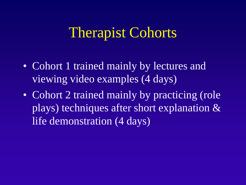## Therapist Cohorts

- Cohort 1 trained mainly by lectures and viewing video examples (4 days)
- Cohort 2 trained mainly by practicing (role plays) techniques after short explanation & life demonstration (4 days)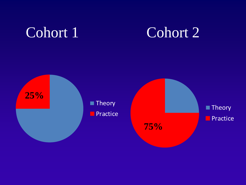## Cohort 1 Cohort 2

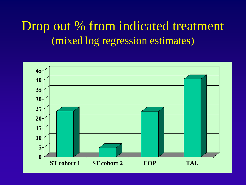## Drop out % from indicated treatment (mixed log regression estimates)

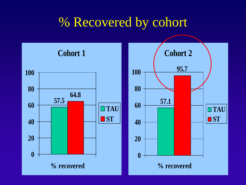## % Recovered by cohort

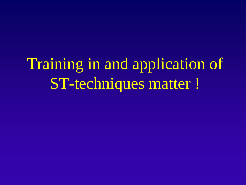Training in and application of ST-techniques matter !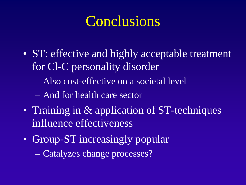## **Conclusions**

- ST: effective and highly acceptable treatment for Cl-C personality disorder
	- Also cost-effective on a societal level
	- And for health care sector
- Training in & application of ST-techniques influence effectiveness
- Group-ST increasingly popular
	- Catalyzes change processes?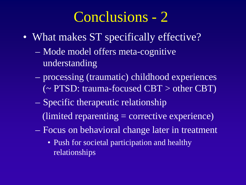## Conclusions - 2

- What makes ST specifically effective?
	- Mode model offers meta-cognitive understanding
	- processing (traumatic) childhood experiences (~ PTSD: trauma-focused CBT > other CBT)
	- Specific therapeutic relationship  $($ limited reparenting  $=$  corrective experience $)$
	- Focus on behavioral change later in treatment
		- Push for societal participation and healthy relationships